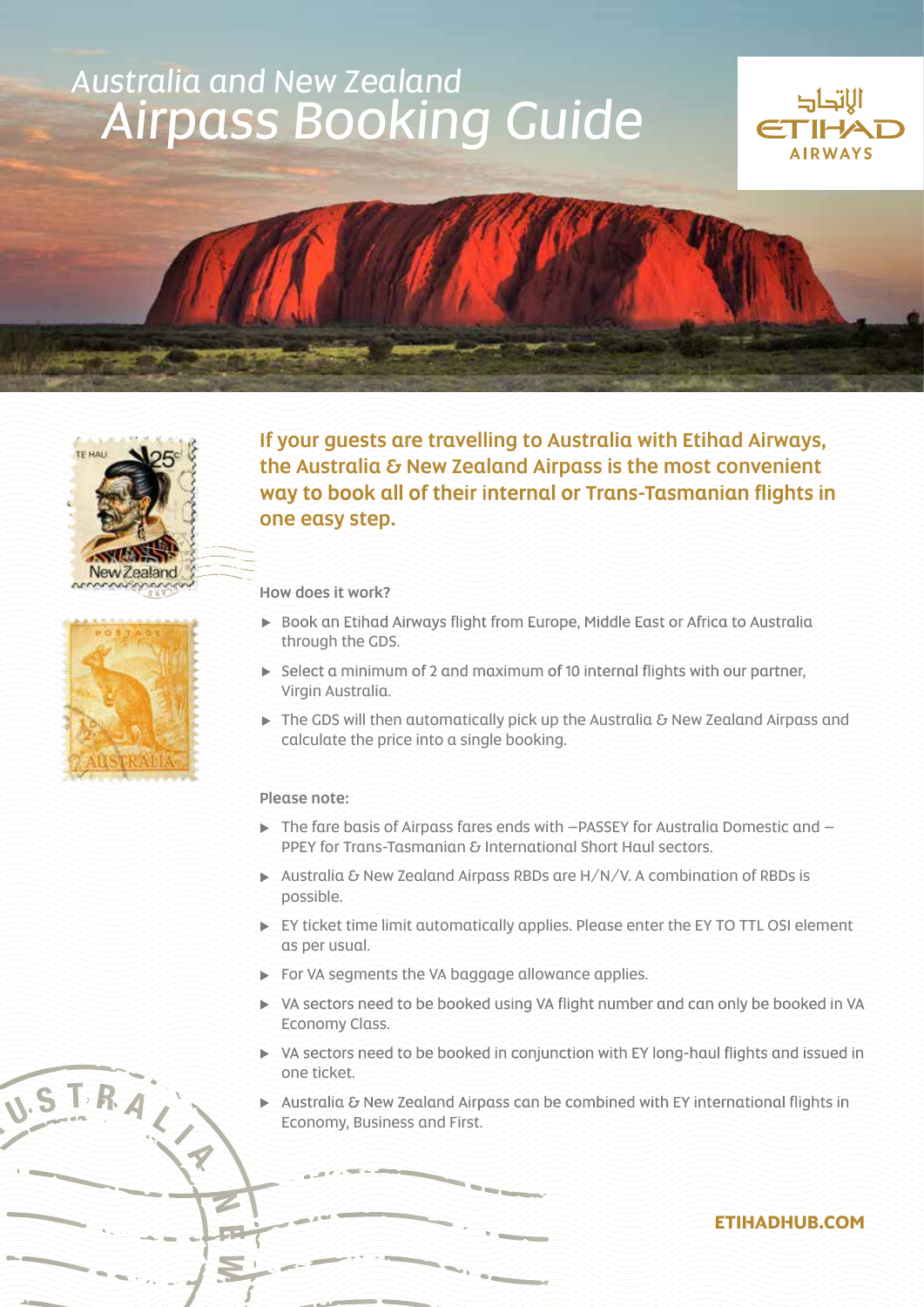# *Australia and New Zealand* **Airpass Booking Guide**









USTRAC

If your guests are travelling to Australia with Etihad Airways, the Australia & New Zealand Airpass is the most convenient way to book all of their internal or Trans-Tasmanian flights in one easy step.

How does it work?

- Book an Etihad Airways flight from Europe, Middle East or Africa to Australia through the GDS.
- Select a minimum of 2 and maximum of 10 internal flights with our partner, Virgin Australia.
- $\triangleright$  The GDS will then automatically pick up the Australia & New Zealand Airpass and calculate the price into a single booking.

### Please note:

- $\triangleright$  The fare basis of Airpass fares ends with  $-PASSEY$  for Australia Domestic and  $-$ PPEY for Trans-Tasmanian & International Short Haul sectors.
- $\triangleright$  Australia & New Zealand Airpass RBDs are H/N/V. A combination of RBDs is .possible
- EY ticket time limit automatically applies. Please enter the EY TO TTL OSI element as per usual.
- $\blacktriangleright$  For VA segments the VA baggage allowance applies.
- ▶ VA sectors need to be booked using VA flight number and can only be booked in VA Economy Class.
- ▶ VA sectors need to be booked in conjunction with EY long-haul flights and issued in one ticket.
- Australia & New Zealand Airpass can be combined with EY international flights in Economy, Business and First.

## **ETIHADHUB.COM**